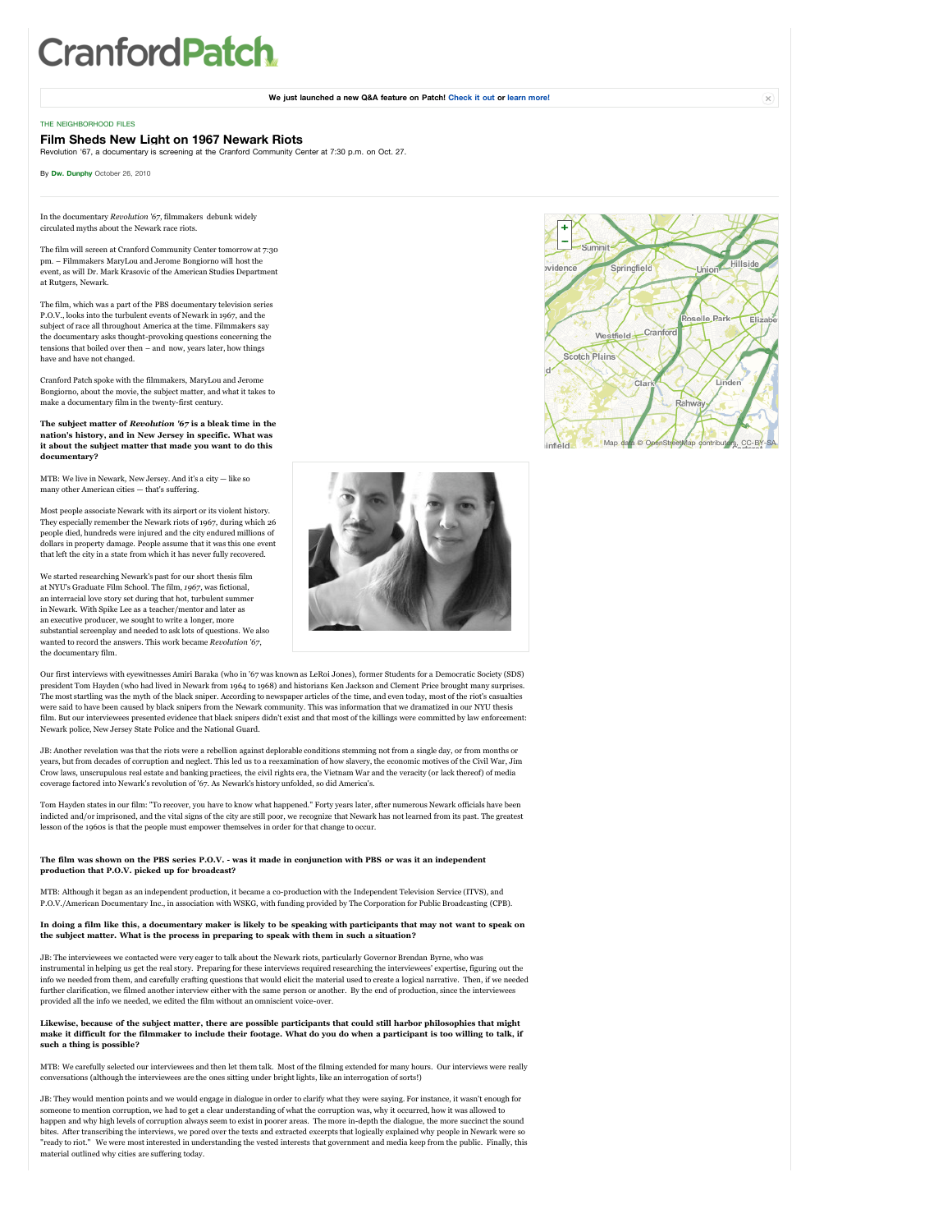# **CranfordPatch**

**We just launched a new Q&A feature on Patch! [Check it out](http://cranford.patch.com/questions) or [learn more!](http://features.patch.com/2010/11/10/patch-launches-qanda/)**

#### [THE NEIGHBORHOOD FILES](http://cranford.patch.com/search/articles?cat=1998198929)

# **Film Sheds New Light on 1967 Newark Riots**

Revolution '67, a documentary is screening at the Cranford Community Center at 7:30 p.m. on Oct. 27.

By **[Dw. Dunphy](http://cranford.patch.com/users/dw-dunphy)** October 26, 2010

In the documentary *Revolution '67*, filmmakers debunk widely circulated myths about the Newark race riots.

The film will screen at Cranford Community Center tomorrow at 7:30 pm. – Filmmakers MaryLou and Jerome Bongiorno will host the event, as will Dr. Mark Krasovic of the American Studies Departm at Rutgers, Newark.

The film, which was a part of the PBS documentary television series P.O.V., looks into the turbulent events of Newark in 1967, and the subject of race all throughout America at the time. Filmmakers say the documentary asks thought-provoking questions concerning the tensions that boiled over then – and now, years later, how things have and have not changed.

Cranford Patch spoke with the filmmakers, MaryLou and Jerome Bongiorno, about the movie, the subject matter, and what it takes to make a documentary film in the twenty-first century.

#### **The subject matter of** *Revolution '67* **is a bleak time in the nation's history, and in New Jersey in specific. What was it about the subject matter that made you want to do this documentary?**

MTB: We live in Newark, New Jersey. And it's a city — like so many other American cities — that's suffering.

Most people associate Newark with its airport or its violent history. They especially remember the Newark riots of 1967, during which 26 people died, hundreds were injured and the city endured millions of dollars in property damage. People assume that it was this one event that left the city in a state from which it has never fully recovered.

We started researching Newark's past for our short thesis film at NYU's Graduate Film School. The film, *1967*, was fictional, an interracial love story set during that hot, turbulent summer in Newark. With Spike Lee as a teacher/mentor and later as an executive producer, we sought to write a longer, more substantial screenplay and needed to ask lots of questions. We also wanted to record the answers. This work became *Revolution '67*, the documentary film.



Our first interviews with eyewitnesses Amiri Baraka (who in '67 was known as LeRoi Jones), former Students for a Democratic Society (SDS) president Tom Hayden (who had lived in Newark from 1964 to 1968) and historians Ken Jackson and Clement Price brought many surprises. The most startling was the myth of the black sniper. According to newspaper articles of the time, and even today, most of the riot's casualties were said to have been caused by black snipers from the Newark community. This was information that we dramatized in our NYU thesis film. But our interviewees presented evidence that black snipers didn't exist and that most of the killings were committed by law enforcement: Newark police, New Jersey State Police and the National Guard.

JB: Another revelation was that the riots were a rebellion against deplorable conditions stemming not from a single day, or from months or years, but from decades of corruption and neglect. This led us to a reexamination of how slavery, the economic motives of the Civil War, Jim Crow laws, unscrupulous real estate and banking practices, the civil rights era, the Vietnam War and the veracity (or lack thereof) of media coverage factored into Newark's revolution of '67. As Newark's history unfolded, so did America's.

Tom Hayden states in our film: "To recover, you have to know what happened." Forty years later, after numerous Newark officials have been indicted and/or imprisoned, and the vital signs of the city are still poor, we recognize that Newark has not learned from its past. The greatest<br>lesson of the 1960s is that the people must empower themselves in order for t

# **The film was shown on the PBS series P.O.V. - was it made in conjunction with PBS or was it an independent production that P.O.V. picked up for broadcast?**

MTB: Although it began as an independent production, it became a co-production with the Independent Television Service (ITVS), and entary Inc., in association with WSKG, with funding provided by The Corporation for Public Broadcasting (CPB).

## **In doing a film like this, a documentary maker is likely to be speaking with participants that may not want to speak on the subject matter. What is the process in preparing to speak with them in such a situation?**

JB: The interviewees we contacted were very eager to talk about the Newark riots, particularly Governor Brendan Byrne, who was instrumental in helping us get the real story. Preparing for these interviews required researching the interviewees' expertise, figuring out the info we needed from them, and carefully crafting questions that would elicit the material used to create a logical narrative. Then, if we needed<br>further clarification, we filmed another interview either with the same perso provided all the info we needed, we edited the film without an omniscient voice-over.

#### **Likewise, because of the subject matter, there are possible participants that could still harbor philosophies that might make it difficult for the filmmaker to include their footage. What do you do when a participant is too willing to talk, if such a thing is possible?**

MTB: We carefully selected our interviewees and then let them talk. Most of the filming extended for many hours. Our interviews were really conversations (although the interviewees are the ones sitting under bright lights, like an interrogation of sorts!)

JB: They would mention points and we would engage in dialogue in order to clarify what they were saying. For instance, it wasn't enough for someone to mention corruption, we had to get a clear understanding of what the corruption was, why it occurred, how it was allowed to happen and why high levels of corruption always seem to exist in poorer areas. The more in-depth the dialogue, the more succinct the sound bites. After transcribing the interviews, we pored over the texts and extracted excerpts that logically explained why people in Newark were so<br>"ready to riot." We were most interested in understanding the vested interests material outlined why cities are suffering today.



 $\times$